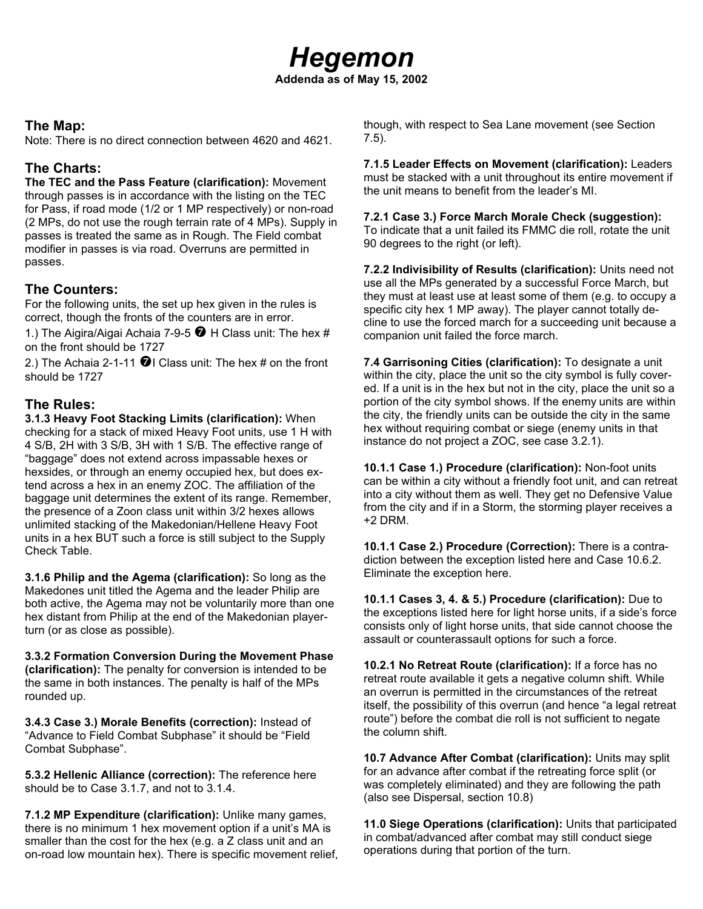### **The Map:**

Note: There is no direct connection between 4620 and 4621.

# **The Charts:**

**The TEC and the Pass Feature (clarification):** Movement through passes is in accordance with the listing on the TEC for Pass, if road mode (1/2 or 1 MP respectively) or non-road (2 MPs, do not use the rough terrain rate of 4 MPs). Supply in passes is treated the same as in Rough. The Field combat modifier in passes is via road. Overruns are permitted in passes.

# **The Counters:**

For the following units, the set up hex given in the rules is correct, though the fronts of the counters are in error.

1.) The Aigira/Aigai Achaia 7-9-5  $\bullet$  H Class unit: The hex # on the front should be 1727

2.) The Achaia 2-1-11  $\bigcirc$  I Class unit: The hex # on the front should be 1727

# **The Rules:**

**3.1.3 Heavy Foot Stacking Limits (clarification):** When checking for a stack of mixed Heavy Foot units, use 1 H with 4 S/B, 2H with 3 S/B, 3H with 1 S/B. The effective range of "baggage" does not extend across impassable hexes or hexsides, or through an enemy occupied hex, but does extend across a hex in an enemy ZOC. The affiliation of the baggage unit determines the extent of its range. Remember, the presence of a Zoon class unit within 3/2 hexes allows unlimited stacking of the Makedonian/Hellene Heavy Foot units in a hex BUT such a force is still subject to the Supply Check Table.

**3.1.6 Philip and the Agema (clarification):** So long as the Makedones unit titled the Agema and the leader Philip are both active, the Agema may not be voluntarily more than one hex distant from Philip at the end of the Makedonian playerturn (or as close as possible).

**3.3.2 Formation Conversion During the Movement Phase (clarification):** The penalty for conversion is intended to be the same in both instances. The penalty is half of the MPs rounded up.

**3.4.3 Case 3.) Morale Benefits (correction):** Instead of "Advance to Field Combat Subphase" it should be "Field Combat Subphase".

**5.3.2 Hellenic Alliance (correction):** The reference here should be to Case 3.1.7, and not to 3.1.4.

**7.1.2 MP Expenditure (clarification):** Unlike many games, there is no minimum 1 hex movement option if a unit's MA is smaller than the cost for the hex (e.g. a Z class unit and an on-road low mountain hex). There is specific movement relief, though, with respect to Sea Lane movement (see Section 7.5).

**7.1.5 Leader Effects on Movement (clarification):** Leaders must be stacked with a unit throughout its entire movement if the unit means to benefit from the leader's MI.

### **7.2.1 Case 3.) Force March Morale Check (suggestion):** To indicate that a unit failed its FMMC die roll, rotate the unit 90 degrees to the right (or left).

**7.2.2 Indivisibility of Results (clarification):** Units need not use all the MPs generated by a successful Force March, but they must at least use at least some of them (e.g. to occupy a specific city hex 1 MP away). The player cannot totally decline to use the forced march for a succeeding unit because a companion unit failed the force march.

**7.4 Garrisoning Cities (clarification):** To designate a unit within the city, place the unit so the city symbol is fully covered. If a unit is in the hex but not in the city, place the unit so a portion of the city symbol shows. If the enemy units are within the city, the friendly units can be outside the city in the same hex without requiring combat or siege (enemy units in that instance do not project a ZOC, see case 3.2.1).

**10.1.1 Case 1.) Procedure (clarification):** Non-foot units can be within a city without a friendly foot unit, and can retreat into a city without them as well. They get no Defensive Value from the city and if in a Storm, the storming player receives a +2 DRM.

**10.1.1 Case 2.) Procedure (Correction):** There is a contradiction between the exception listed here and Case 10.6.2. Eliminate the exception here.

**10.1.1 Cases 3, 4. & 5.) Procedure (clarification):** Due to the exceptions listed here for light horse units, if a side's force consists only of light horse units, that side cannot choose the assault or counterassault options for such a force.

**10.2.1 No Retreat Route (clarification):** If a force has no retreat route available it gets a negative column shift. While an overrun is permitted in the circumstances of the retreat itself, the possibility of this overrun (and hence "a legal retreat route") before the combat die roll is not sufficient to negate the column shift.

**10.7 Advance After Combat (clarification):** Units may split for an advance after combat if the retreating force split (or was completely eliminated) and they are following the path (also see Dispersal, section 10.8)

**11.0 Siege Operations (clarification):** Units that participated in combat/advanced after combat may still conduct siege operations during that portion of the turn.